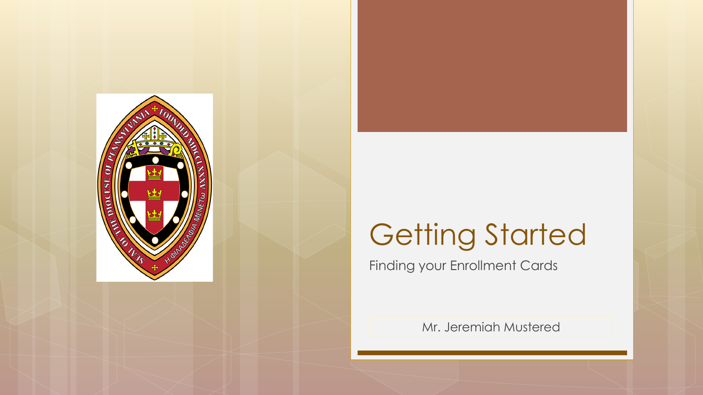

# Getting Started

Finding your Enrollment Cards

Mr. Jeremiah Mustered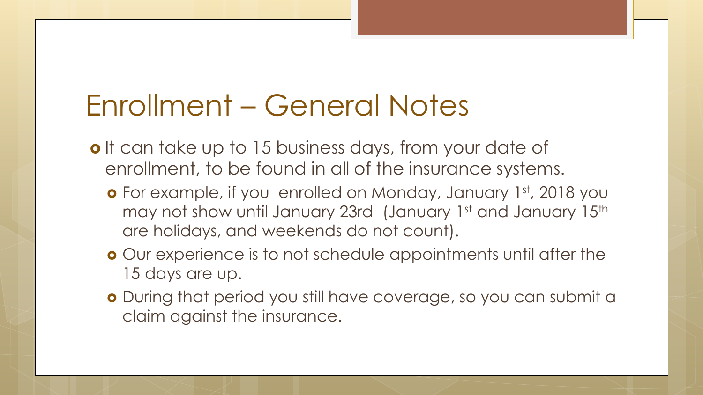## Enrollment – General Notes

- o It can take up to 15 business days, from your date of enrollment, to be found in all of the insurance systems.
	- o For example, if you enrolled on Monday, January 1st, 2018 you may not show until January 23rd (January 1st and January 15th are holidays, and weekends do not count).
	- Our experience is to not schedule appointments until after the 15 days are up.
	- During that period you still have coverage, so you can submit a claim against the insurance.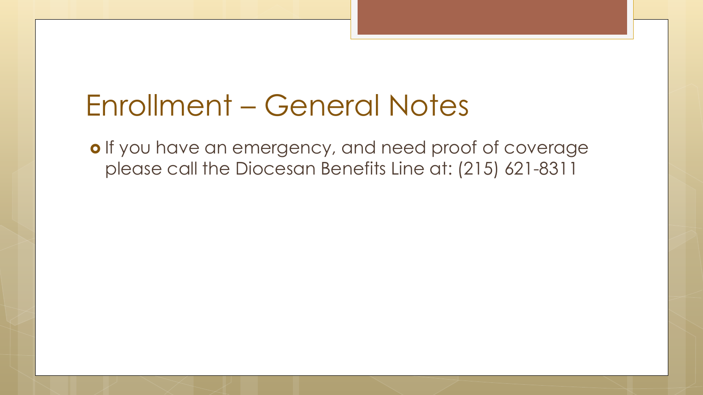#### Enrollment – General Notes

o If you have an emergency, and need proof of coverage please call the Diocesan Benefits Line at: (215) 621-8311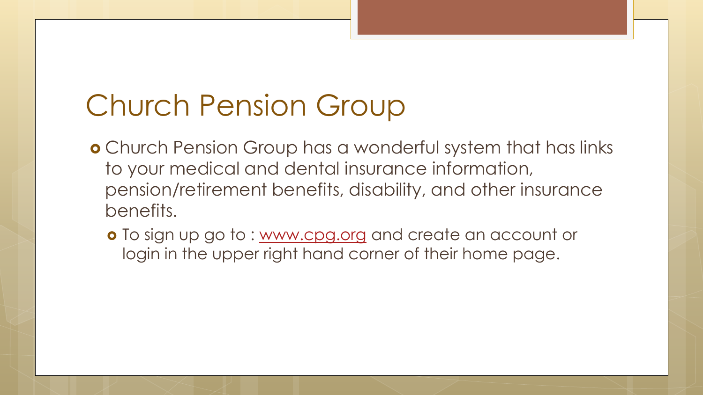# Church Pension Group

- Church Pension Group has a wonderful system that has links to your medical and dental insurance information, pension/retirement benefits, disability, and other insurance benefits.
	- o To sign up go to : [www.cpg.org](http://www.cpg.org/) and create an account or login in the upper right hand corner of their home page.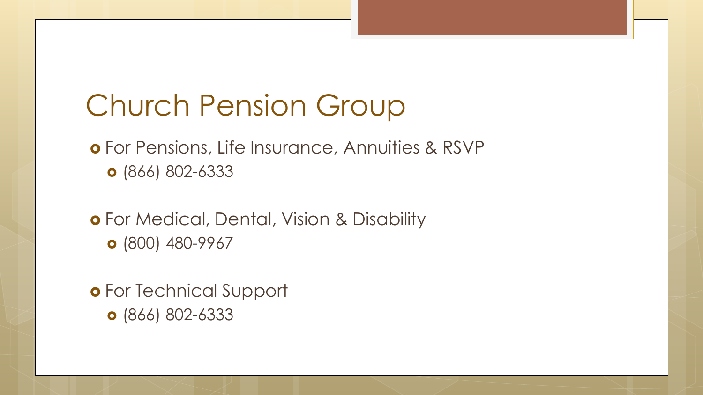## Church Pension Group

 For Pensions, Life Insurance, Annuities & RSVP (866) 802-6333

 For Medical, Dental, Vision & Disability **o** (800) 480-9967

 For Technical Support (866) 802-6333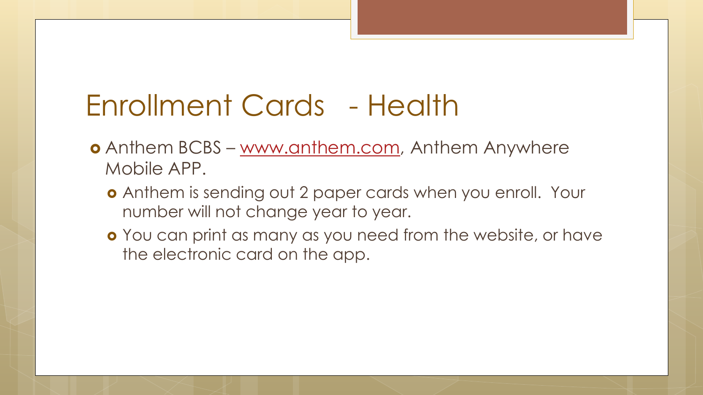## Enrollment Cards - Health

- Anthem BCBS [www.anthem.com](http://www.anthem.com/), Anthem Anywhere Mobile APP.
	- Anthem is sending out 2 paper cards when you enroll. Your number will not change year to year.
	- **o** You can print as many as you need from the website, or have the electronic card on the app.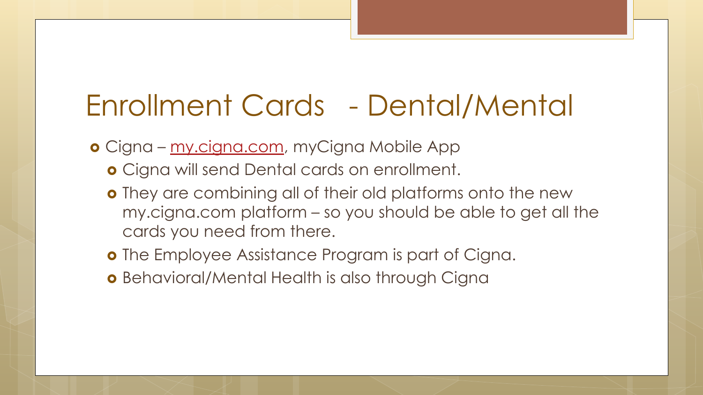## Enrollment Cards - Dental/Mental

o Cigna – [my.cigna.com,](https://my.cigna.com/) myCigna Mobile App

- **o** Cigna will send Dental cards on enrollment.
- **o** They are combining all of their old platforms onto the new my.cigna.com platform – so you should be able to get all the cards you need from there.
- o The Employee Assistance Program is part of Cigna.
- **o** Behavioral/Mental Health is also through Cigna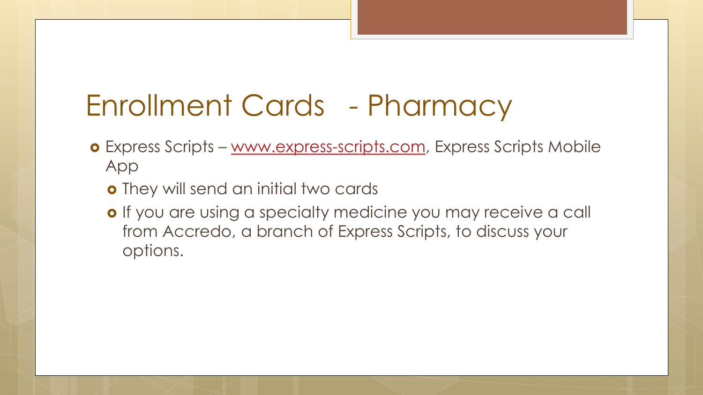## Enrollment Cards - Pharmacy

- Express Scripts [www.express-scripts.com](http://www.express-scripts.com/), Express Scripts Mobile App
	- **o** They will send an initial two cards
	- o If you are using a specialty medicine you may receive a call from Accredo, a branch of Express Scripts, to discuss your options.